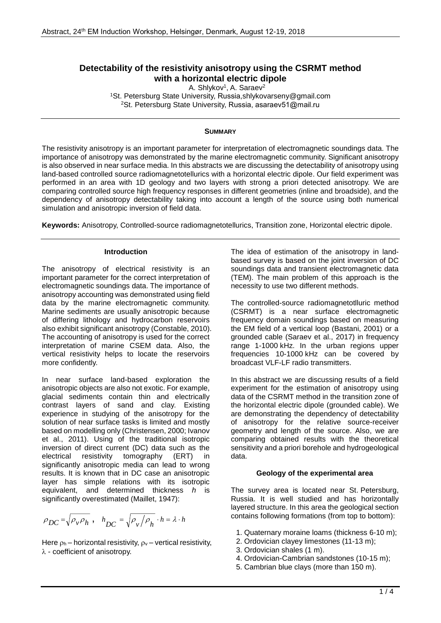# **Detectability of the resistivity anisotropy using the CSRMT method with a horizontal electric dipole**

A. Shlykov<sup>1</sup>, A. Saraev<sup>2</sup>

<sup>1</sup>St. Petersburg State University, Russia,shlykovarseny@gmail.com <sup>2</sup>St. Petersburg State University, Russia, asaraev51@mail.ru

#### **SUMMARY**

The resistivity anisotropy is an important parameter for interpretation of electromagnetic soundings data. The importance of anisotropy was demonstrated by the marine electromagnetic community. Significant anisotropy is also observed in near surface media. In this abstracts we are discussing the detectability of anisotropy using land-based controlled source radiomagnetotellurics with a horizontal electric dipole. Our field experiment was performed in an area with 1D geology and two layers with strong a priori detected anisotropy. We are comparing controlled source high frequency responses in different geometries (inline and broadside), and the dependency of anisotropy detectability taking into account a length of the source using both numerical simulation and anisotropic inversion of field data.

**Keywords:** Anisotropy, Controlled-source radiomagnetotellurics, Transition zone, Horizontal electric dipole.

### **Introduction**

The anisotropy of electrical resistivity is an important parameter for the correct interpretation of electromagnetic soundings data. The importance of anisotropy accounting was demonstrated using field data by the marine electromagnetic community. Marine sediments are usually anisotropic because of differing lithology and hydrocarbon reservoirs also exhibit significant anisotropy (Constable, 2010). The accounting of anisotropy is used for the correct interpretation of marine CSEM data. Also, the vertical resistivity helps to locate the reservoirs more confidently.

In near surface land-based exploration the anisotropic objects are also not exotic. For example, glacial sediments contain thin and electrically contrast layers of sand and clay. Existing experience in studying of the anisotropy for the solution of near surface tasks is limited and mostly based on modelling only (Christensen, 2000; Ivanov et al., 2011). Using of the traditional isotropic inversion of direct current (DC) data such as the electrical resistivity tomography (ERT) in significantly anisotropic media can lead to wrong results. It is known that in DC case an anisotropic layer has simple relations with its isotropic equivalent, and determined thickness *h* is significantly overestimated (Maillet, 1947):

$$
\rho_{DC} = \sqrt{\rho_v \rho_h} , \quad h_{DC} = \sqrt{\rho_v / \rho_h} \cdot h = \lambda \cdot h
$$

Here  $\rho_h$  – horizontal resistivity,  $\rho_v$  – vertical resistivity,  $\lambda$  - coefficient of anisotropy.

The idea of estimation of the anisotropy in landbased survey is based on the joint inversion of DC soundings data and transient electromagnetic data (TEM). The main problem of this approach is the necessity to use two different methods.

The controlled-source radiomagnetotlluric method (CSRMT) is a near surface electromagnetic frequency domain soundings based on measuring the EM field of a vertical loop (Bastani, 2001) or a grounded cable (Saraev et al., 2017) in frequency range 1-1000 kHz. In the urban regions upper frequencies 10-1000 kHz can be covered by broadcast VLF-LF radio transmitters.

In this abstract we are discussing results of a field experiment for the estimation of anisotropy using data of the CSRMT method in the transition zone of the horizontal electric dipole (grounded cable). We are demonstrating the dependency of detectability of anisotropy for the relative source-receiver geometry and length of the source. Also, we are comparing obtained results with the theoretical sensitivity and a priori borehole and hydrogeological data.

## **Geology of the experimental area**

The survey area is located near St. Petersburg, Russia. It is well studied and has horizontally layered structure. In this area the geological section contains following formations (from top to bottom):

- 1. Quaternary moraine loams (thickness 6-10 m);
- 2. Ordovician clayey limestones (11-13 m);
- 3. Ordovician shales (1 m).
- 4. Ordovician-Cambrian sandstones (10-15 m);
- 5. Cambrian blue clays (more than 150 m).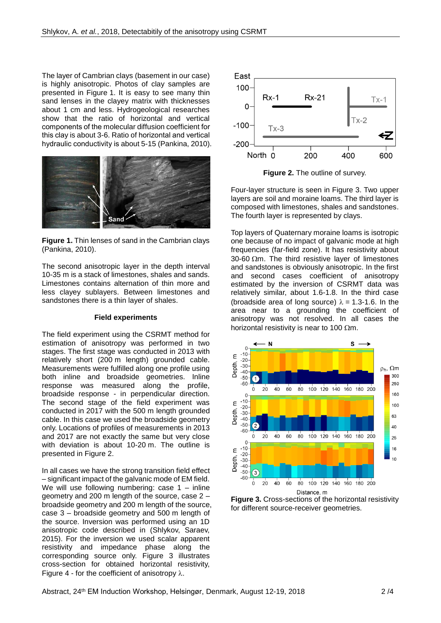The layer of Cambrian clays (basement in our case) is highly anisotropic. Photos of clay samples are presented in Figure 1. It is easy to see many thin sand lenses in the clayey matrix with thicknesses about 1 cm and less. Hydrogeological researches show that the ratio of horizontal and vertical components of the molecular diffusion coefficient for this clay is about 3-6. Ratio of horizontal and vertical hydraulic conductivity is about 5-15 (Pankina, 2010).



**Figure 1.** Thin lenses of sand in the Cambrian clays (Pankina, 2010).

The second anisotropic layer in the depth interval 10-35 m is a stack of limestones, shales and sands. Limestones contains alternation of thin more and less clayey sublayers. Between limestones and sandstones there is a thin layer of shales.

#### **Field experiments**

The field experiment using the CSRMT method for estimation of anisotropy was performed in two stages. The first stage was conducted in 2013 with relatively short (200 m length) grounded cable. Measurements were fulfilled along one profile using both inline and broadside geometries. Inline response was measured along the profile, broadside response - in perpendicular direction. The second stage of the field experiment was conducted in 2017 with the 500 m length grounded cable. In this case we used the broadside geometry only. Locations of profiles of measurements in 2013 and 2017 are not exactly the same but very close with deviation is about 10-20 m. The outline is presented in Figure 2.

In all cases we have the strong transition field effect – significant impact of the galvanic mode of EM field. We will use following numbering: case 1 – inline geometry and 200 m length of the source, case 2 – broadside geometry and 200 m length of the source, case 3 – broadside geometry and 500 m length of the source. Inversion was performed using an 1D anisotropic code described in (Shlykov, Saraev, 2015). For the inversion we used scalar apparent resistivity and impedance phase along the corresponding source only. Figure 3 illustrates cross-section for obtained horizontal resistivity, Figure 4 - for the coefficient of anisotropy  $\lambda$ .



**Figure 2.** The outline of survey.

Four-layer structure is seen in Figure 3. Two upper layers are soil and moraine loams. The third layer is composed with limestones, shales and sandstones. The fourth layer is represented by clays.

Top layers of Quaternary moraine loams is isotropic one because of no impact of galvanic mode at high frequencies (far-field zone). It has resistivity about 30-60  $\Omega$ m. The third resistive layer of limestones and sandstones is obviously anisotropic. In the first and second cases coefficient of anisotropy estimated by the inversion of CSRMT data was relatively similar, about 1.6-1.8. In the third case (broadside area of long source)  $\lambda = 1.3$ -1.6. In the area near to a grounding the coefficient of anisotropy was not resolved. In all cases the horizontal resistivity is near to 100  $\Omega$ m.



**Figure 3.** Cross-sections of the horizontal resistivity for different source-receiver geometries.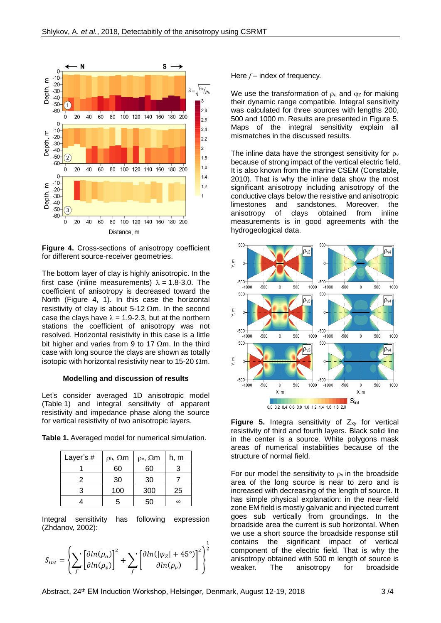

**Figure 4.** Cross-sections of anisotropy coefficient for different source-receiver geometries.

The bottom layer of clay is highly anisotropic. In the first case (inline measurements)  $\lambda = 1.8-3.0$ . The coefficient of anisotropy is decreased toward the North (Figure 4, 1). In this case the horizontal resistivity of clay is about  $5-12$  Qm. In the second case the clays have  $\lambda = 1.9$ -2.3, but at the northern stations the coefficient of anisotropy was not resolved. Horizontal resistivity in this case is a little bit higher and varies from 9 to 17  $\Omega$ m. In the third case with long source the clays are shown as totally isotopic with horizontal resistivity near to 15-20  $\Omega$ m.

#### **Modelling and discussion of results**

Let's consider averaged 1D anisotropic model (Table 1) and integral sensitivity of apparent resistivity and impedance phase along the source for vertical resistivity of two anisotropic layers.

| Layer's # | $\rho_h$ , $\Omega m$ | $\rho_v$ , $\Omega$ m | h, m     |
|-----------|-----------------------|-----------------------|----------|
|           | 60                    | 60                    | 3        |
|           | 30                    | 30                    |          |
|           | 100                   | 300                   | 25       |
|           | 5                     |                       | $\infty$ |

**Table 1.** Averaged model for numerical simulation.

Integral sensitivity has following expression (Zhdanov, 2002):

$$
S_{int} = \left\{ \sum_{f} \left[ \frac{\partial ln(\rho_a)}{\partial ln(\rho_v)} \right]^2 + \sum_{f} \left[ \frac{\partial ln(|\varphi_{Z}| + 45^{\circ})}{\partial ln(\rho_v)} \right]^2 \right\}^{\frac{1}{2}}
$$

#### Here  $f$  – index of frequency.

We use the transformation of  $\rho_a$  and  $\rho_z$  for making their dynamic range compatible. Integral sensitivity was calculated for three sources with lengths 200, 500 and 1000 m. Results are presented in Figure 5. Maps of the integral sensitivity explain all mismatches in the discussed results.

The inline data have the strongest sensitivity for  $\rho_v$ because of strong impact of the vertical electric field. It is also known from the marine CSEM (Constable, 2010). That is why the inline data show the most significant anisotropy including anisotropy of the conductive clays below the resistive and anisotropic limestones and sandstones. Moreover, the anisotropy of clays obtained from inline measurements is in good agreements with the hydrogeological data.



**Figure 5.** Integra sensitivity of  $Z_{xy}$  for vertical resistivity of third and fourth layers. Black solid line in the center is a source. White polygons mask areas of numerical instabilities because of the structure of normal field.

For our model the sensitivity to  $\rho_v$  in the broadside area of the long source is near to zero and is increased with decreasing of the length of source. It has simple physical explanation: in the near-field zone EM field is mostly galvanic and injected current goes sub vertically from groundings. In the broadside area the current is sub horizontal. When we use a short source the broadside response still contains the significant impact of vertical component of the electric field. That is why the anisotropy obtained with 500 m length of source is weaker. The anisotropy for broadside

J.